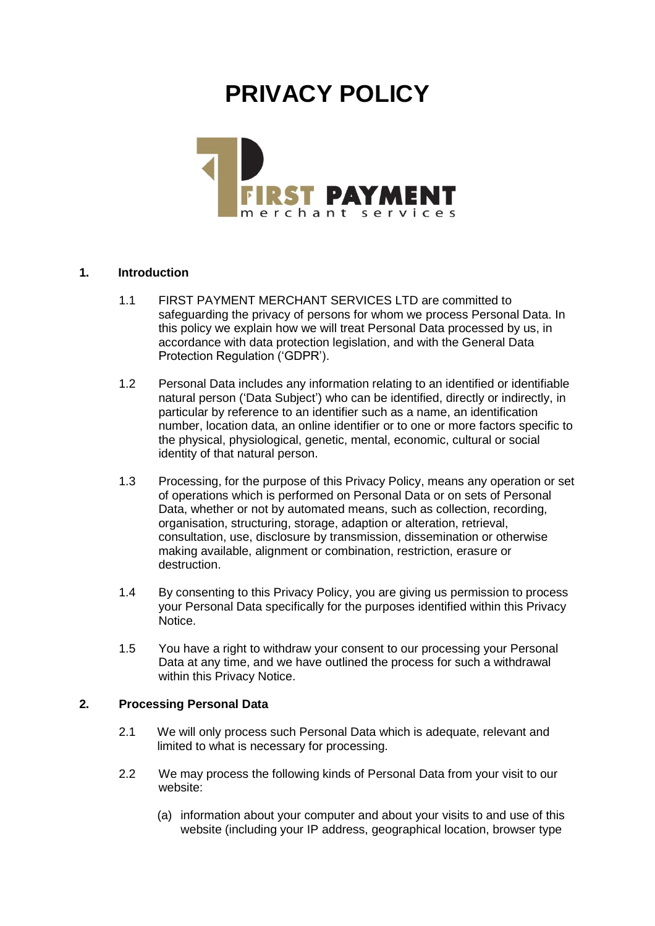# **PRIVACY POLICY**



# **1. Introduction**

- 1.1 FIRST PAYMENT MERCHANT SERVICES LTD are committed to safeguarding the privacy of persons for whom we process Personal Data. In this policy we explain how we will treat Personal Data processed by us, in accordance with data protection legislation, and with the General Data Protection Regulation ('GDPR').
- 1.2 Personal Data includes any information relating to an identified or identifiable natural person ('Data Subject') who can be identified, directly or indirectly, in particular by reference to an identifier such as a name, an identification number, location data, an online identifier or to one or more factors specific to the physical, physiological, genetic, mental, economic, cultural or social identity of that natural person.
- 1.3 Processing, for the purpose of this Privacy Policy, means any operation or set of operations which is performed on Personal Data or on sets of Personal Data, whether or not by automated means, such as collection, recording, organisation, structuring, storage, adaption or alteration, retrieval, consultation, use, disclosure by transmission, dissemination or otherwise making available, alignment or combination, restriction, erasure or destruction.
- 1.4 By consenting to this Privacy Policy, you are giving us permission to process your Personal Data specifically for the purposes identified within this Privacy Notice.
- 1.5 You have a right to withdraw your consent to our processing your Personal Data at any time, and we have outlined the process for such a withdrawal within this Privacy Notice.

# **2. Processing Personal Data**

- 2.1 We will only process such Personal Data which is adequate, relevant and limited to what is necessary for processing.
- 2.2 We may process the following kinds of Personal Data from your visit to our website:
	- (a) information about your computer and about your visits to and use of this website (including your IP address, geographical location, browser type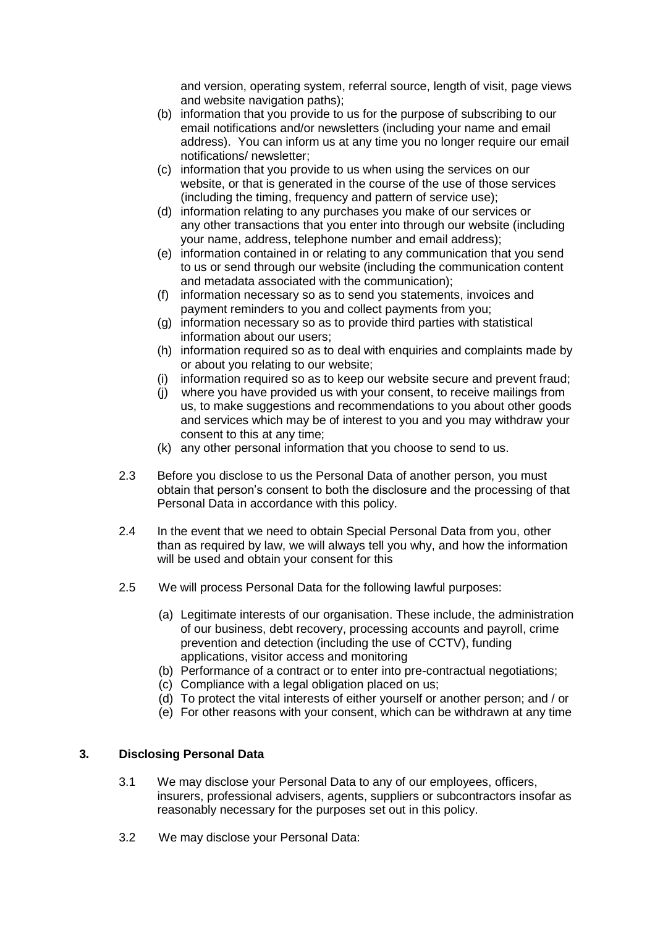and version, operating system, referral source, length of visit, page views and website navigation paths);

- (b) information that you provide to us for the purpose of subscribing to our email notifications and/or newsletters (including your name and email address). You can inform us at any time you no longer require our email notifications/ newsletter;
- (c) information that you provide to us when using the services on our website, or that is generated in the course of the use of those services (including the timing, frequency and pattern of service use);
- (d) information relating to any purchases you make of our services or any other transactions that you enter into through our website (including your name, address, telephone number and email address);
- (e) information contained in or relating to any communication that you send to us or send through our website (including the communication content and metadata associated with the communication);
- (f) information necessary so as to send you statements, invoices and payment reminders to you and collect payments from you;
- (g) information necessary so as to provide third parties with statistical information about our users;
- (h) information required so as to deal with enquiries and complaints made by or about you relating to our website;
- (i) information required so as to keep our website secure and prevent fraud;
- (j) where you have provided us with your consent, to receive mailings from us, to make suggestions and recommendations to you about other goods and services which may be of interest to you and you may withdraw your consent to this at any time;
- (k) any other personal information that you choose to send to us.
- 2.3 Before you disclose to us the Personal Data of another person, you must obtain that person's consent to both the disclosure and the processing of that Personal Data in accordance with this policy.
- 2.4 In the event that we need to obtain Special Personal Data from you, other than as required by law, we will always tell you why, and how the information will be used and obtain your consent for this
- 2.5 We will process Personal Data for the following lawful purposes:
	- (a) Legitimate interests of our organisation. These include, the administration of our business, debt recovery, processing accounts and payroll, crime prevention and detection (including the use of CCTV), funding applications, visitor access and monitoring
	- (b) Performance of a contract or to enter into pre-contractual negotiations;
	- (c) Compliance with a legal obligation placed on us;
	- (d) To protect the vital interests of either yourself or another person; and / or
	- (e) For other reasons with your consent, which can be withdrawn at any time

# **3. Disclosing Personal Data**

- 3.1 We may disclose your Personal Data to any of our employees, officers, insurers, professional advisers, agents, suppliers or subcontractors insofar as reasonably necessary for the purposes set out in this policy.
- 3.2 We may disclose your Personal Data: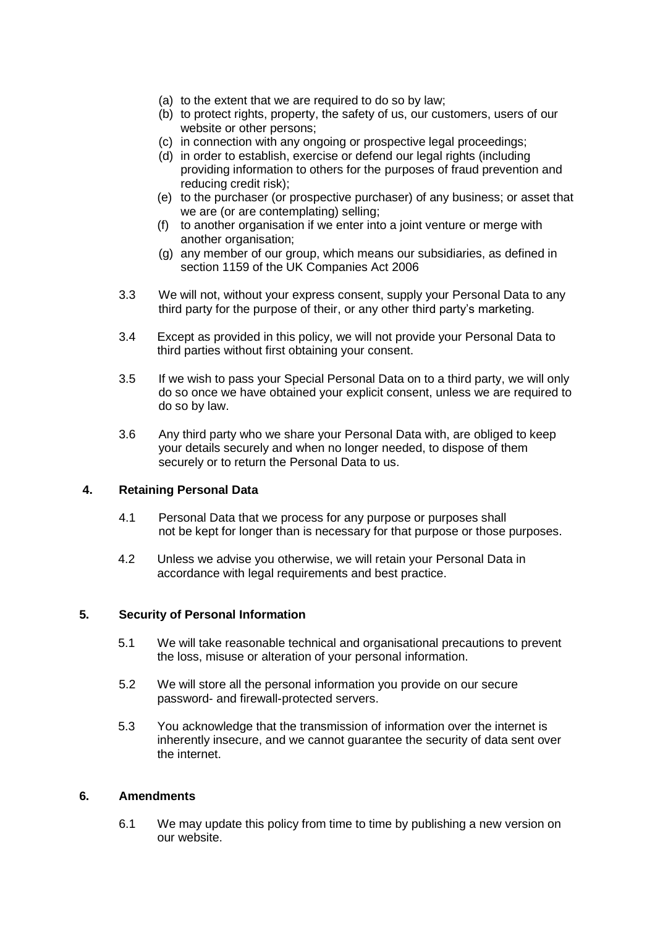- (a) to the extent that we are required to do so by law;
- (b) to protect rights, property, the safety of us, our customers, users of our website or other persons;
- (c) in connection with any ongoing or prospective legal proceedings;
- (d) in order to establish, exercise or defend our legal rights (including providing information to others for the purposes of fraud prevention and reducing credit risk);
- (e) to the purchaser (or prospective purchaser) of any business; or asset that we are (or are contemplating) selling;
- (f) to another organisation if we enter into a joint venture or merge with another organisation;
- (g) any member of our group, which means our subsidiaries, as defined in section 1159 of the UK Companies Act 2006
- 3.3 We will not, without your express consent, supply your Personal Data to any third party for the purpose of their, or any other third party's marketing.
- 3.4 Except as provided in this policy, we will not provide your Personal Data to third parties without first obtaining your consent.
- 3.5 If we wish to pass your Special Personal Data on to a third party, we will only do so once we have obtained your explicit consent, unless we are required to do so by law.
- 3.6 Any third party who we share your Personal Data with, are obliged to keep your details securely and when no longer needed, to dispose of them securely or to return the Personal Data to us.

# **4. Retaining Personal Data**

- 4.1 Personal Data that we process for any purpose or purposes shall not be kept for longer than is necessary for that purpose or those purposes.
- 4.2 Unless we advise you otherwise, we will retain your Personal Data in accordance with legal requirements and best practice.

# **5. Security of Personal Information**

- 5.1 We will take reasonable technical and organisational precautions to prevent the loss, misuse or alteration of your personal information.
- 5.2 We will store all the personal information you provide on our secure password- and firewall-protected servers.
- 5.3 You acknowledge that the transmission of information over the internet is inherently insecure, and we cannot guarantee the security of data sent over the internet.

#### **6. Amendments**

6.1 We may update this policy from time to time by publishing a new version on our website.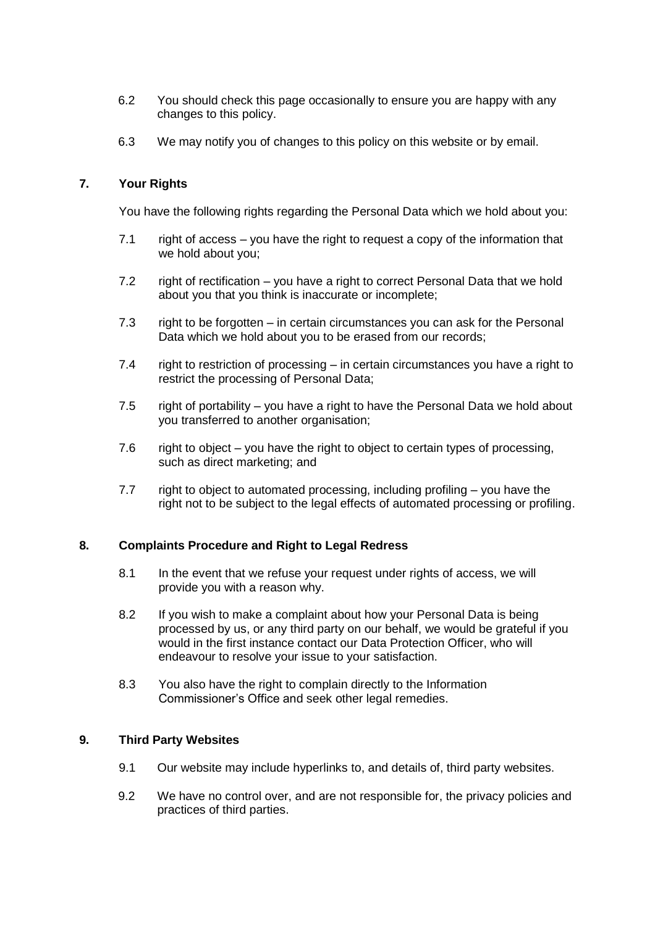- 6.2 You should check this page occasionally to ensure you are happy with any changes to this policy.
- 6.3 We may notify you of changes to this policy on this website or by email.

## **7. Your Rights**

You have the following rights regarding the Personal Data which we hold about you:

- 7.1 right of access you have the right to request a copy of the information that we hold about you;
- 7.2 right of rectification you have a right to correct Personal Data that we hold about you that you think is inaccurate or incomplete;
- 7.3 right to be forgotten in certain circumstances you can ask for the Personal Data which we hold about you to be erased from our records;
- 7.4 right to restriction of processing in certain circumstances you have a right to restrict the processing of Personal Data;
- 7.5 right of portability you have a right to have the Personal Data we hold about you transferred to another organisation;
- 7.6 right to object you have the right to object to certain types of processing, such as direct marketing; and
- 7.7 right to object to automated processing, including profiling you have the right not to be subject to the legal effects of automated processing or profiling.

#### **8. Complaints Procedure and Right to Legal Redress**

- 8.1 In the event that we refuse your request under rights of access, we will provide you with a reason why.
- 8.2 If you wish to make a complaint about how your Personal Data is being processed by us, or any third party on our behalf, we would be grateful if you would in the first instance contact our Data Protection Officer, who will endeavour to resolve your issue to your satisfaction.
- 8.3 You also have the right to complain directly to the Information Commissioner's Office and seek other legal remedies.

# **9. Third Party Websites**

- 9.1 Our website may include hyperlinks to, and details of, third party websites.
- 9.2 We have no control over, and are not responsible for, the privacy policies and practices of third parties.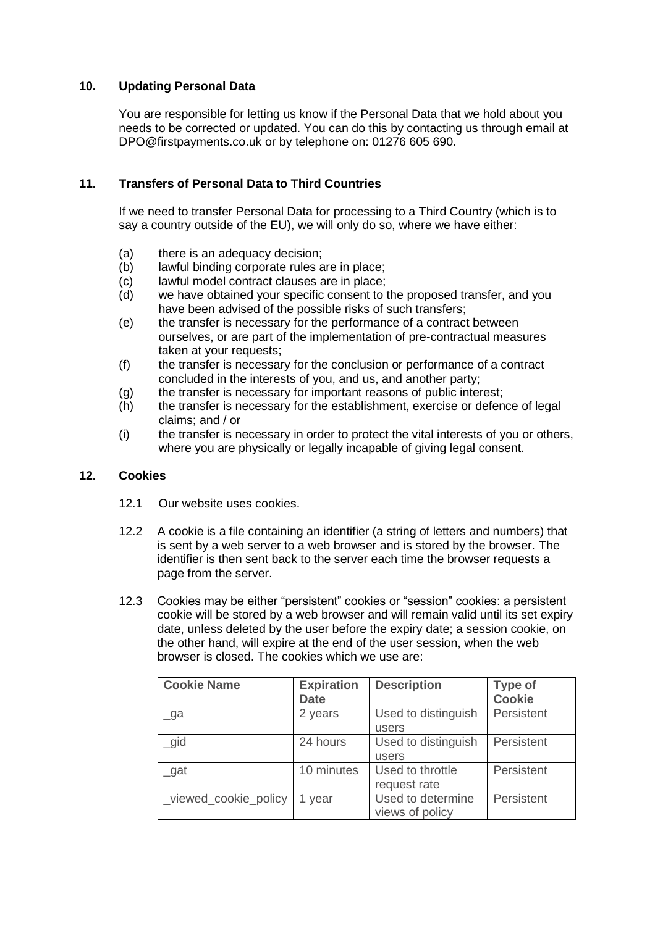# **10. Updating Personal Data**

You are responsible for letting us know if the Personal Data that we hold about you needs to be corrected or updated. You can do this by contacting us through email at DPO@firstpayments.co.uk or by telephone on: 01276 605 690.

# **11. Transfers of Personal Data to Third Countries**

If we need to transfer Personal Data for processing to a Third Country (which is to say a country outside of the EU), we will only do so, where we have either:

- (a) there is an adequacy decision;
- (b) lawful binding corporate rules are in place;
- (c) lawful model contract clauses are in place;
- (d) we have obtained your specific consent to the proposed transfer, and you have been advised of the possible risks of such transfers;
- (e) the transfer is necessary for the performance of a contract between ourselves, or are part of the implementation of pre-contractual measures taken at your requests;
- (f) the transfer is necessary for the conclusion or performance of a contract concluded in the interests of you, and us, and another party;
- (g) the transfer is necessary for important reasons of public interest;
- (h) the transfer is necessary for the establishment, exercise or defence of legal claims; and / or
- (i) the transfer is necessary in order to protect the vital interests of you or others, where you are physically or legally incapable of giving legal consent.

# **12. Cookies**

- 12.1 Our website uses cookies.
- 12.2 A cookie is a file containing an identifier (a string of letters and numbers) that is sent by a web server to a web browser and is stored by the browser. The identifier is then sent back to the server each time the browser requests a page from the server.
- 12.3 Cookies may be either "persistent" cookies or "session" cookies: a persistent cookie will be stored by a web browser and will remain valid until its set expiry date, unless deleted by the user before the expiry date; a session cookie, on the other hand, will expire at the end of the user session, when the web browser is closed. The cookies which we use are:

| <b>Cookie Name</b>    | <b>Expiration</b><br><b>Date</b> | <b>Description</b>                   | <b>Type of</b><br><b>Cookie</b> |
|-----------------------|----------------------------------|--------------------------------------|---------------------------------|
| $\Box$ ga             | 2 years                          | Used to distinguish<br>users         | Persistent                      |
| $\_gid$               | 24 hours                         | Used to distinguish<br>users         | Persistent                      |
| $\_gat$               | 10 minutes                       | Used to throttle<br>request rate     | Persistent                      |
| _viewed_cookie_policy | 1 year                           | Used to determine<br>views of policy | Persistent                      |